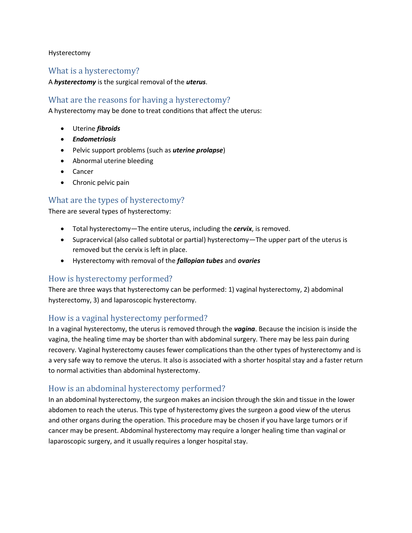Hysterectomy

### What is a hysterectomy?

#### A *hysterectomy* is the surgical removal of the *uterus*.

### What are the reasons for having a hysterectomy?

A hysterectomy may be done to treat conditions that affect the uterus:

- Uterine *fibroids*
- *Endometriosis*
- Pelvic support problems (such as *uterine prolapse*)
- Abnormal uterine bleeding
- Cancer
- Chronic pelvic pain

## What are the types of hysterectomy?

There are several types of hysterectomy:

- Total hysterectomy—The entire uterus, including the *cervix*, is removed.
- Supracervical (also called subtotal or partial) hysterectomy—The upper part of the uterus is removed but the cervix is left in place.
- Hysterectomy with removal of the *fallopian tubes* and *ovaries*

#### How is hysterectomy performed?

There are three ways that hysterectomy can be performed: 1) vaginal hysterectomy, 2) abdominal hysterectomy, 3) and laparoscopic hysterectomy.

### How is a vaginal hysterectomy performed?

In a vaginal hysterectomy, the uterus is removed through the *vagina*. Because the incision is inside the vagina, the healing time may be shorter than with abdominal surgery. There may be less pain during recovery. Vaginal hysterectomy causes fewer complications than the other types of hysterectomy and is a very safe way to remove the uterus. It also is associated with a shorter hospital stay and a faster return to normal activities than abdominal hysterectomy.

### How is an abdominal hysterectomy performed?

In an abdominal hysterectomy, the surgeon makes an incision through the skin and tissue in the lower abdomen to reach the uterus. This type of hysterectomy gives the surgeon a good view of the uterus and other organs during the operation. This procedure may be chosen if you have large tumors or if cancer may be present. Abdominal hysterectomy may require a longer healing time than vaginal or laparoscopic surgery, and it usually requires a longer hospital stay.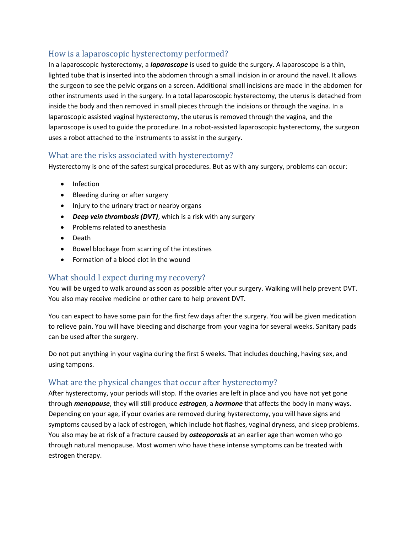# How is a laparoscopic hysterectomy performed?

In a laparoscopic hysterectomy, a *laparoscope* is used to guide the surgery. A laparoscope is a thin, lighted tube that is inserted into the abdomen through a small incision in or around the navel. It allows the surgeon to see the pelvic organs on a screen. Additional small incisions are made in the abdomen for other instruments used in the surgery. In a total laparoscopic hysterectomy, the uterus is detached from inside the body and then removed in small pieces through the incisions or through the vagina. In a laparoscopic assisted vaginal hysterectomy, the uterus is removed through the vagina, and the laparoscope is used to guide the procedure. In a robot-assisted laparoscopic hysterectomy, the surgeon uses a robot attached to the instruments to assist in the surgery.

# What are the risks associated with hysterectomy?

Hysterectomy is one of the safest surgical procedures. But as with any surgery, problems can occur:

- Infection
- Bleeding during or after surgery
- Injury to the urinary tract or nearby organs
- *Deep vein thrombosis (DVT)*, which is a risk with any surgery
- Problems related to anesthesia
- Death
- Bowel blockage from scarring of the intestines
- Formation of a blood clot in the wound

# What should I expect during my recovery?

You will be urged to walk around as soon as possible after your surgery. Walking will help prevent DVT. You also may receive medicine or other care to help prevent DVT.

You can expect to have some pain for the first few days after the surgery. You will be given medication to relieve pain. You will have bleeding and discharge from your vagina for several weeks. Sanitary pads can be used after the surgery.

Do not put anything in your vagina during the first 6 weeks. That includes douching, having sex, and using tampons.

# What are the physical changes that occur after hysterectomy?

After hysterectomy, your periods will stop. If the ovaries are left in place and you have not yet gone through *menopause*, they will still produce *estrogen*, a *hormone* that affects the body in many ways. Depending on your age, if your ovaries are removed during hysterectomy, you will have signs and symptoms caused by a lack of estrogen, which include hot flashes, vaginal dryness, and sleep problems. You also may be at risk of a fracture caused by *osteoporosis* at an earlier age than women who go through natural menopause. Most women who have these intense symptoms can be treated with estrogen therapy.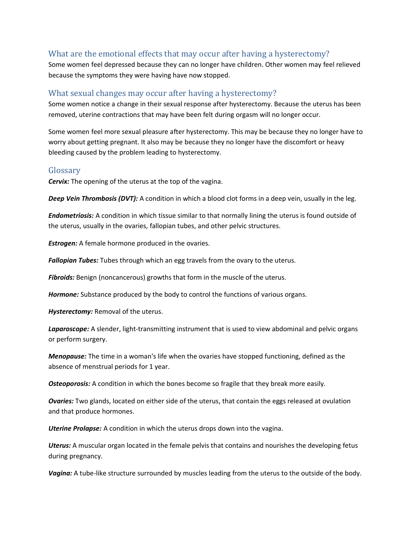## What are the emotional effects that may occur after having a hysterectomy?

Some women feel depressed because they can no longer have children. Other women may feel relieved because the symptoms they were having have now stopped.

### What sexual changes may occur after having a hysterectomy?

Some women notice a change in their sexual response after hysterectomy. Because the uterus has been removed, uterine contractions that may have been felt during orgasm will no longer occur.

Some women feel more sexual pleasure after hysterectomy. This may be because they no longer have to worry about getting pregnant. It also may be because they no longer have the discomfort or heavy bleeding caused by the problem leading to hysterectomy.

### Glossary

*Cervix:* The opening of the uterus at the top of the vagina.

*Deep Vein Thrombosis (DVT):* A condition in which a blood clot forms in a deep vein, usually in the leg.

*Endometriosis:* A condition in which tissue similar to that normally lining the uterus is found outside of the uterus, usually in the ovaries, fallopian tubes, and other pelvic structures.

*Estrogen:* A female hormone produced in the ovaries.

**Fallopian Tubes:** Tubes through which an egg travels from the ovary to the uterus.

*Fibroids:* Benign (noncancerous) growths that form in the muscle of the uterus.

*Hormone:* Substance produced by the body to control the functions of various organs.

*Hysterectomy:* Removal of the uterus.

*Laparoscope:* A slender, light-transmitting instrument that is used to view abdominal and pelvic organs or perform surgery.

*Menopause:* The time in a woman's life when the ovaries have stopped functioning, defined as the absence of menstrual periods for 1 year.

**Osteoporosis:** A condition in which the bones become so fragile that they break more easily.

*Ovaries:* Two glands, located on either side of the uterus, that contain the eggs released at ovulation and that produce hormones.

*Uterine Prolapse:* A condition in which the uterus drops down into the vagina.

*Uterus:* A muscular organ located in the female pelvis that contains and nourishes the developing fetus during pregnancy.

*Vagina:* A tube-like structure surrounded by muscles leading from the uterus to the outside of the body.